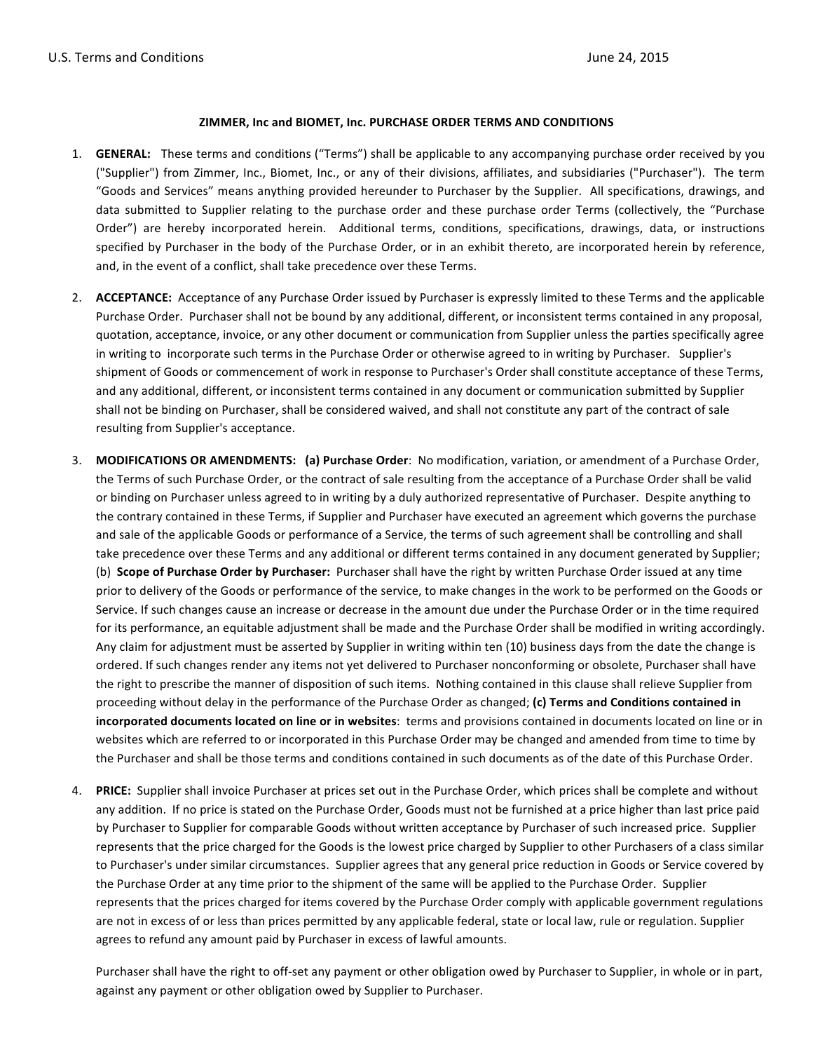## **ZIMMER, Inc and BIOMET, Inc. PURCHASE ORDER TERMS AND CONDITIONS**

- 1. **GENERAL:** These terms and conditions ("Terms") shall be applicable to any accompanying purchase order received by you ("Supplier") from Zimmer, Inc., Biomet, Inc., or any of their divisions, affiliates, and subsidiaries ("Purchaser"). The term "Goods and Services" means anything provided hereunder to Purchaser by the Supplier. All specifications, drawings, and data submitted to Supplier relating to the purchase order and these purchase order Terms (collectively, the "Purchase Order") are hereby incorporated herein. Additional terms, conditions, specifications, drawings, data, or instructions specified by Purchaser in the body of the Purchase Order, or in an exhibit thereto, are incorporated herein by reference, and, in the event of a conflict, shall take precedence over these Terms.
- 2. **ACCEPTANCE:** Acceptance of any Purchase Order issued by Purchaser is expressly limited to these Terms and the applicable Purchase Order. Purchaser shall not be bound by any additional, different, or inconsistent terms contained in any proposal, quotation, acceptance, invoice, or any other document or communication from Supplier unless the parties specifically agree in writing to incorporate such terms in the Purchase Order or otherwise agreed to in writing by Purchaser. Supplier's shipment of Goods or commencement of work in response to Purchaser's Order shall constitute acceptance of these Terms, and any additional, different, or inconsistent terms contained in any document or communication submitted by Supplier shall not be binding on Purchaser, shall be considered waived, and shall not constitute any part of the contract of sale resulting from Supplier's acceptance.
- 3. **MODIFICATIONS OR AMENDMENTS: (a) Purchase Order**: No modification, variation, or amendment of a Purchase Order, the Terms of such Purchase Order, or the contract of sale resulting from the acceptance of a Purchase Order shall be valid or binding on Purchaser unless agreed to in writing by a duly authorized representative of Purchaser. Despite anything to the contrary contained in these Terms, if Supplier and Purchaser have executed an agreement which governs the purchase and sale of the applicable Goods or performance of a Service, the terms of such agreement shall be controlling and shall take precedence over these Terms and any additional or different terms contained in any document generated by Supplier; (b) **Scope of Purchase Order by Purchaser:** Purchaser shall have the right by written Purchase Order issued at any time prior to delivery of the Goods or performance of the service, to make changes in the work to be performed on the Goods or Service. If such changes cause an increase or decrease in the amount due under the Purchase Order or in the time required for its performance, an equitable adjustment shall be made and the Purchase Order shall be modified in writing accordingly. Any claim for adjustment must be asserted by Supplier in writing within ten (10) business days from the date the change is ordered. If such changes render any items not yet delivered to Purchaser nonconforming or obsolete, Purchaser shall have the right to prescribe the manner of disposition of such items. Nothing contained in this clause shall relieve Supplier from proceeding without delay in the performance of the Purchase Order as changed; (c) Terms and Conditions contained in **incorporated documents located on line or in websites**: terms and provisions contained in documents located on line or in websites which are referred to or incorporated in this Purchase Order may be changed and amended from time to time by the Purchaser and shall be those terms and conditions contained in such documents as of the date of this Purchase Order.
- 4. **PRICE:** Supplier shall invoice Purchaser at prices set out in the Purchase Order, which prices shall be complete and without any addition. If no price is stated on the Purchase Order, Goods must not be furnished at a price higher than last price paid by Purchaser to Supplier for comparable Goods without written acceptance by Purchaser of such increased price. Supplier represents that the price charged for the Goods is the lowest price charged by Supplier to other Purchasers of a class similar to Purchaser's under similar circumstances. Supplier agrees that any general price reduction in Goods or Service covered by the Purchase Order at any time prior to the shipment of the same will be applied to the Purchase Order. Supplier represents that the prices charged for items covered by the Purchase Order comply with applicable government regulations are not in excess of or less than prices permitted by any applicable federal, state or local law, rule or regulation. Supplier agrees to refund any amount paid by Purchaser in excess of lawful amounts.

Purchaser shall have the right to off-set any payment or other obligation owed by Purchaser to Supplier, in whole or in part, against any payment or other obligation owed by Supplier to Purchaser.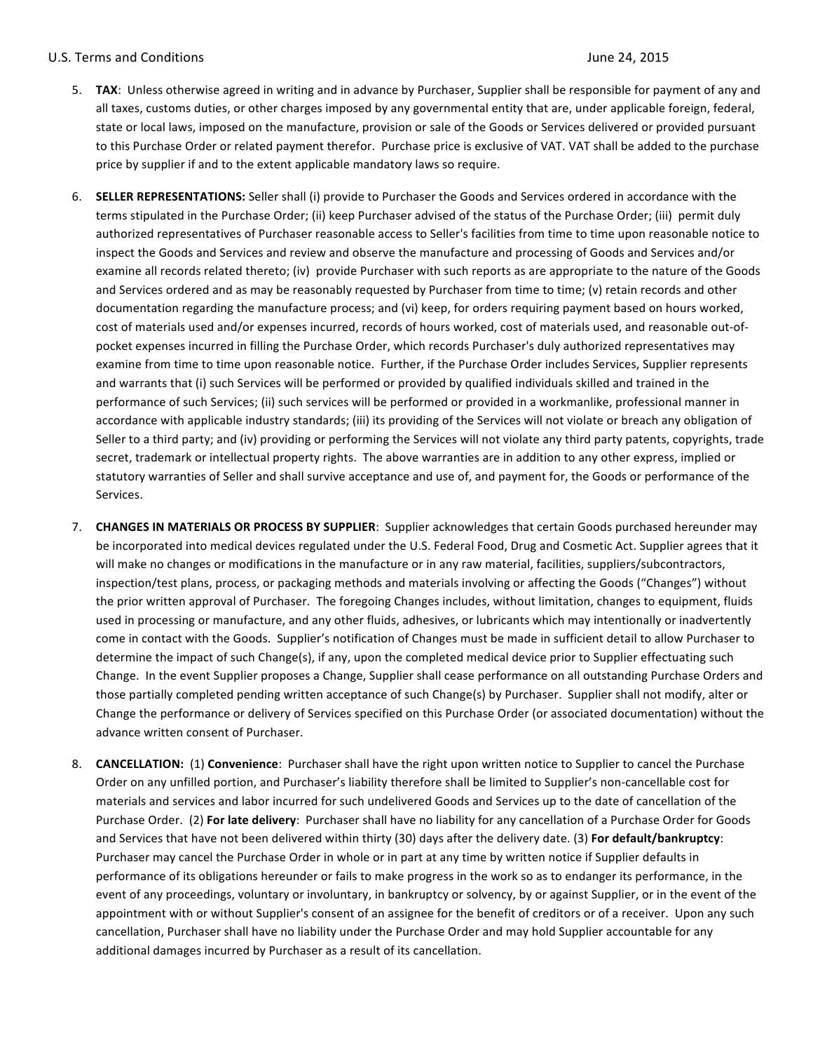- 5. TAX: Unless otherwise agreed in writing and in advance by Purchaser, Supplier shall be responsible for payment of any and all taxes, customs duties, or other charges imposed by any governmental entity that are, under applicable foreign, federal, state or local laws, imposed on the manufacture, provision or sale of the Goods or Services delivered or provided pursuant to this Purchase Order or related payment therefor. Purchase price is exclusive of VAT. VAT shall be added to the purchase price by supplier if and to the extent applicable mandatory laws so require.
- 6. **SELLER REPRESENTATIONS:** Seller shall (i) provide to Purchaser the Goods and Services ordered in accordance with the terms stipulated in the Purchase Order; (ii) keep Purchaser advised of the status of the Purchase Order; (iii) permit duly authorized representatives of Purchaser reasonable access to Seller's facilities from time to time upon reasonable notice to inspect the Goods and Services and review and observe the manufacture and processing of Goods and Services and/or examine all records related thereto; (iv) provide Purchaser with such reports as are appropriate to the nature of the Goods and Services ordered and as may be reasonably requested by Purchaser from time to time; (v) retain records and other documentation regarding the manufacture process; and (vi) keep, for orders requiring payment based on hours worked, cost of materials used and/or expenses incurred, records of hours worked, cost of materials used, and reasonable out-ofpocket expenses incurred in filling the Purchase Order, which records Purchaser's duly authorized representatives may examine from time to time upon reasonable notice. Further, if the Purchase Order includes Services, Supplier represents and warrants that (i) such Services will be performed or provided by qualified individuals skilled and trained in the performance of such Services; (ii) such services will be performed or provided in a workmanlike, professional manner in accordance with applicable industry standards; (iii) its providing of the Services will not violate or breach any obligation of Seller to a third party; and (iv) providing or performing the Services will not violate any third party patents, copyrights, trade secret, trademark or intellectual property rights. The above warranties are in addition to any other express, implied or statutory warranties of Seller and shall survive acceptance and use of, and payment for, the Goods or performance of the Services.
- 7. CHANGES IN MATERIALS OR PROCESS BY SUPPLIER: Supplier acknowledges that certain Goods purchased hereunder may be incorporated into medical devices regulated under the U.S. Federal Food, Drug and Cosmetic Act. Supplier agrees that it will make no changes or modifications in the manufacture or in any raw material, facilities, suppliers/subcontractors, inspection/test plans, process, or packaging methods and materials involving or affecting the Goods ("Changes") without the prior written approval of Purchaser. The foregoing Changes includes, without limitation, changes to equipment, fluids used in processing or manufacture, and any other fluids, adhesives, or lubricants which may intentionally or inadvertently come in contact with the Goods. Supplier's notification of Changes must be made in sufficient detail to allow Purchaser to determine the impact of such Change(s), if any, upon the completed medical device prior to Supplier effectuating such Change. In the event Supplier proposes a Change, Supplier shall cease performance on all outstanding Purchase Orders and those partially completed pending written acceptance of such Change(s) by Purchaser. Supplier shall not modify, alter or Change the performance or delivery of Services specified on this Purchase Order (or associated documentation) without the advance written consent of Purchaser.
- 8. **CANCELLATION:** (1) **Convenience**: Purchaser shall have the right upon written notice to Supplier to cancel the Purchase Order on any unfilled portion, and Purchaser's liability therefore shall be limited to Supplier's non-cancellable cost for materials and services and labor incurred for such undelivered Goods and Services up to the date of cancellation of the Purchase Order. (2) For late delivery: Purchaser shall have no liability for any cancellation of a Purchase Order for Goods and Services that have not been delivered within thirty (30) days after the delivery date. (3) For default/bankruptcy: Purchaser may cancel the Purchase Order in whole or in part at any time by written notice if Supplier defaults in performance of its obligations hereunder or fails to make progress in the work so as to endanger its performance, in the event of any proceedings, voluntary or involuntary, in bankruptcy or solvency, by or against Supplier, or in the event of the appointment with or without Supplier's consent of an assignee for the benefit of creditors or of a receiver. Upon any such cancellation, Purchaser shall have no liability under the Purchase Order and may hold Supplier accountable for any additional damages incurred by Purchaser as a result of its cancellation.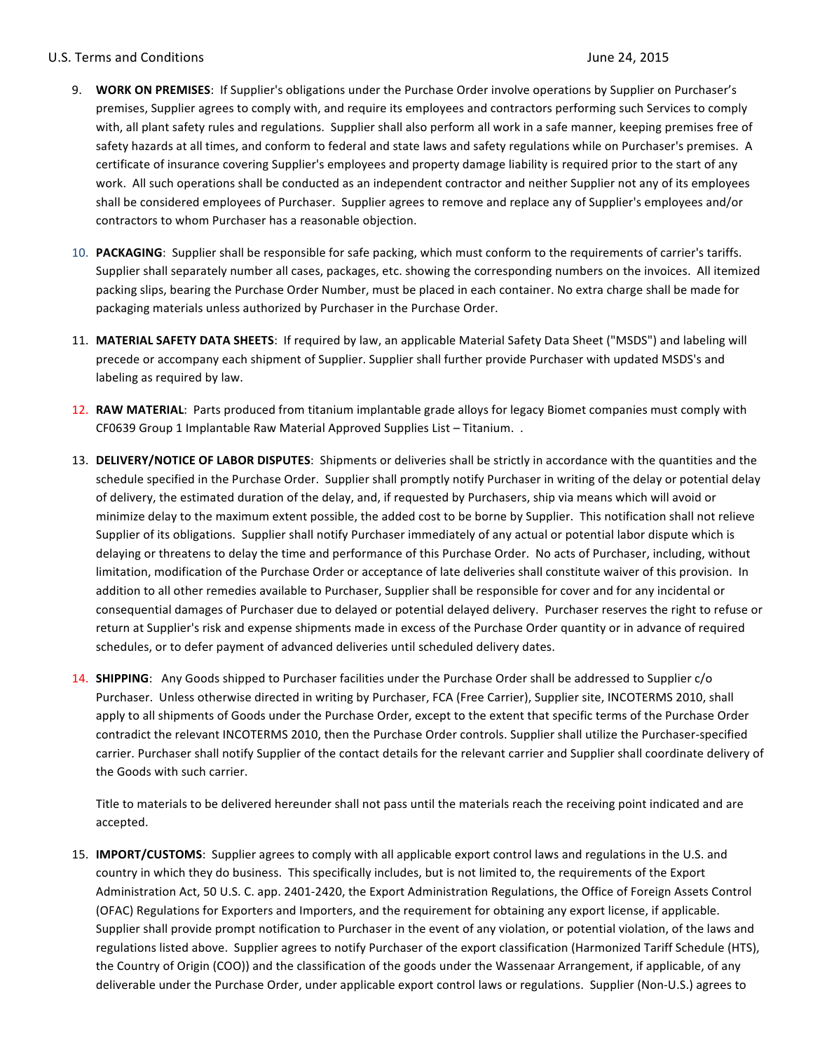## U.S. Terms and Conditions **Department of the Conditions** of the U.S. Terms and Conditions **June 24, 2015**

- 9. **WORK ON PREMISES**: If Supplier's obligations under the Purchase Order involve operations by Supplier on Purchaser's premises, Supplier agrees to comply with, and require its employees and contractors performing such Services to comply with, all plant safety rules and regulations. Supplier shall also perform all work in a safe manner, keeping premises free of safety hazards at all times, and conform to federal and state laws and safety regulations while on Purchaser's premises. A certificate of insurance covering Supplier's employees and property damage liability is required prior to the start of any work. All such operations shall be conducted as an independent contractor and neither Supplier not any of its employees shall be considered employees of Purchaser. Supplier agrees to remove and replace any of Supplier's employees and/or contractors to whom Purchaser has a reasonable objection.
- 10. **PACKAGING**: Supplier shall be responsible for safe packing, which must conform to the requirements of carrier's tariffs. Supplier shall separately number all cases, packages, etc. showing the corresponding numbers on the invoices. All itemized packing slips, bearing the Purchase Order Number, must be placed in each container. No extra charge shall be made for packaging materials unless authorized by Purchaser in the Purchase Order.
- 11. MATERIAL SAFETY DATA SHEETS: If required by law, an applicable Material Safety Data Sheet ("MSDS") and labeling will precede or accompany each shipment of Supplier. Supplier shall further provide Purchaser with updated MSDS's and labeling as required by law.
- 12. RAW MATERIAL: Parts produced from titanium implantable grade alloys for legacy Biomet companies must comply with CF0639 Group 1 Implantable Raw Material Approved Supplies List - Titanium. .
- 13. DELIVERY/NOTICE OF LABOR DISPUTES: Shipments or deliveries shall be strictly in accordance with the quantities and the schedule specified in the Purchase Order. Supplier shall promptly notify Purchaser in writing of the delay or potential delay of delivery, the estimated duration of the delay, and, if requested by Purchasers, ship via means which will avoid or minimize delay to the maximum extent possible, the added cost to be borne by Supplier. This notification shall not relieve Supplier of its obligations. Supplier shall notify Purchaser immediately of any actual or potential labor dispute which is delaying or threatens to delay the time and performance of this Purchase Order. No acts of Purchaser, including, without limitation, modification of the Purchase Order or acceptance of late deliveries shall constitute waiver of this provision. In addition to all other remedies available to Purchaser, Supplier shall be responsible for cover and for any incidental or consequential damages of Purchaser due to delayed or potential delayed delivery. Purchaser reserves the right to refuse or return at Supplier's risk and expense shipments made in excess of the Purchase Order quantity or in advance of required schedules, or to defer payment of advanced deliveries until scheduled delivery dates.
- 14. **SHIPPING**: Any Goods shipped to Purchaser facilities under the Purchase Order shall be addressed to Supplier c/o Purchaser. Unless otherwise directed in writing by Purchaser, FCA (Free Carrier), Supplier site, INCOTERMS 2010, shall apply to all shipments of Goods under the Purchase Order, except to the extent that specific terms of the Purchase Order contradict the relevant INCOTERMS 2010, then the Purchase Order controls. Supplier shall utilize the Purchaser-specified carrier. Purchaser shall notify Supplier of the contact details for the relevant carrier and Supplier shall coordinate delivery of the Goods with such carrier.

Title to materials to be delivered hereunder shall not pass until the materials reach the receiving point indicated and are accepted.

15. **IMPORT/CUSTOMS**: Supplier agrees to comply with all applicable export control laws and regulations in the U.S. and country in which they do business. This specifically includes, but is not limited to, the requirements of the Export Administration Act, 50 U.S. C. app. 2401-2420, the Export Administration Regulations, the Office of Foreign Assets Control (OFAC) Regulations for Exporters and Importers, and the requirement for obtaining any export license, if applicable. Supplier shall provide prompt notification to Purchaser in the event of any violation, or potential violation, of the laws and regulations listed above. Supplier agrees to notify Purchaser of the export classification (Harmonized Tariff Schedule (HTS), the Country of Origin (COO)) and the classification of the goods under the Wassenaar Arrangement, if applicable, of any deliverable under the Purchase Order, under applicable export control laws or regulations. Supplier (Non-U.S.) agrees to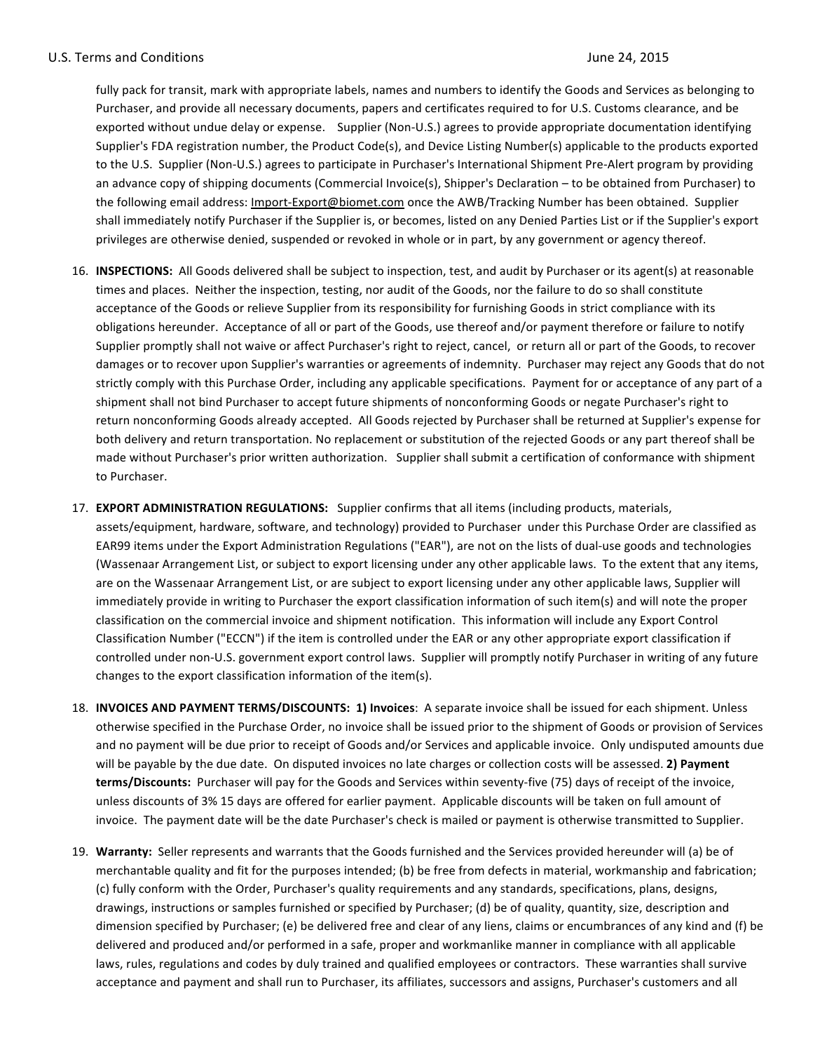fully pack for transit, mark with appropriate labels, names and numbers to identify the Goods and Services as belonging to Purchaser, and provide all necessary documents, papers and certificates required to for U.S. Customs clearance, and be exported without undue delay or expense. Supplier (Non-U.S.) agrees to provide appropriate documentation identifying Supplier's FDA registration number, the Product Code(s), and Device Listing Number(s) applicable to the products exported to the U.S. Supplier (Non-U.S.) agrees to participate in Purchaser's International Shipment Pre-Alert program by providing an advance copy of shipping documents (Commercial Invoice(s), Shipper's Declaration – to be obtained from Purchaser) to the following email address: Import-Export@biomet.com once the AWB/Tracking Number has been obtained. Supplier shall immediately notify Purchaser if the Supplier is, or becomes, listed on any Denied Parties List or if the Supplier's export privileges are otherwise denied, suspended or revoked in whole or in part, by any government or agency thereof.

- 16. **INSPECTIONS:** All Goods delivered shall be subject to inspection, test, and audit by Purchaser or its agent(s) at reasonable times and places. Neither the inspection, testing, nor audit of the Goods, nor the failure to do so shall constitute acceptance of the Goods or relieve Supplier from its responsibility for furnishing Goods in strict compliance with its obligations hereunder. Acceptance of all or part of the Goods, use thereof and/or payment therefore or failure to notify Supplier promptly shall not waive or affect Purchaser's right to reject, cancel, or return all or part of the Goods, to recover damages or to recover upon Supplier's warranties or agreements of indemnity. Purchaser may reject any Goods that do not strictly comply with this Purchase Order, including any applicable specifications. Payment for or acceptance of any part of a shipment shall not bind Purchaser to accept future shipments of nonconforming Goods or negate Purchaser's right to return nonconforming Goods already accepted. All Goods rejected by Purchaser shall be returned at Supplier's expense for both delivery and return transportation. No replacement or substitution of the rejected Goods or any part thereof shall be made without Purchaser's prior written authorization. Supplier shall submit a certification of conformance with shipment to Purchaser.
- 17. **EXPORT ADMINISTRATION REGULATIONS:** Supplier confirms that all items (including products, materials, assets/equipment, hardware, software, and technology) provided to Purchaser under this Purchase Order are classified as EAR99 items under the Export Administration Regulations ("EAR"), are not on the lists of dual-use goods and technologies (Wassenaar Arrangement List, or subject to export licensing under any other applicable laws. To the extent that any items, are on the Wassenaar Arrangement List, or are subject to export licensing under any other applicable laws, Supplier will immediately provide in writing to Purchaser the export classification information of such item(s) and will note the proper classification on the commercial invoice and shipment notification. This information will include any Export Control Classification Number ("ECCN") if the item is controlled under the EAR or any other appropriate export classification if controlled under non-U.S. government export control laws. Supplier will promptly notify Purchaser in writing of any future changes to the export classification information of the item(s).
- 18. **INVOICES AND PAYMENT TERMS/DISCOUNTS: 1) Invoices**: A separate invoice shall be issued for each shipment. Unless otherwise specified in the Purchase Order, no invoice shall be issued prior to the shipment of Goods or provision of Services and no payment will be due prior to receipt of Goods and/or Services and applicable invoice. Only undisputed amounts due will be payable by the due date. On disputed invoices no late charges or collection costs will be assessed. 2) Payment terms/Discounts: Purchaser will pay for the Goods and Services within seventy-five (75) days of receipt of the invoice, unless discounts of 3% 15 days are offered for earlier payment. Applicable discounts will be taken on full amount of invoice. The payment date will be the date Purchaser's check is mailed or payment is otherwise transmitted to Supplier.
- 19. Warranty: Seller represents and warrants that the Goods furnished and the Services provided hereunder will (a) be of merchantable quality and fit for the purposes intended; (b) be free from defects in material, workmanship and fabrication; (c) fully conform with the Order, Purchaser's quality requirements and any standards, specifications, plans, designs, drawings, instructions or samples furnished or specified by Purchaser; (d) be of quality, quantity, size, description and dimension specified by Purchaser; (e) be delivered free and clear of any liens, claims or encumbrances of any kind and (f) be delivered and produced and/or performed in a safe, proper and workmanlike manner in compliance with all applicable laws, rules, regulations and codes by duly trained and qualified employees or contractors. These warranties shall survive acceptance and payment and shall run to Purchaser, its affiliates, successors and assigns, Purchaser's customers and all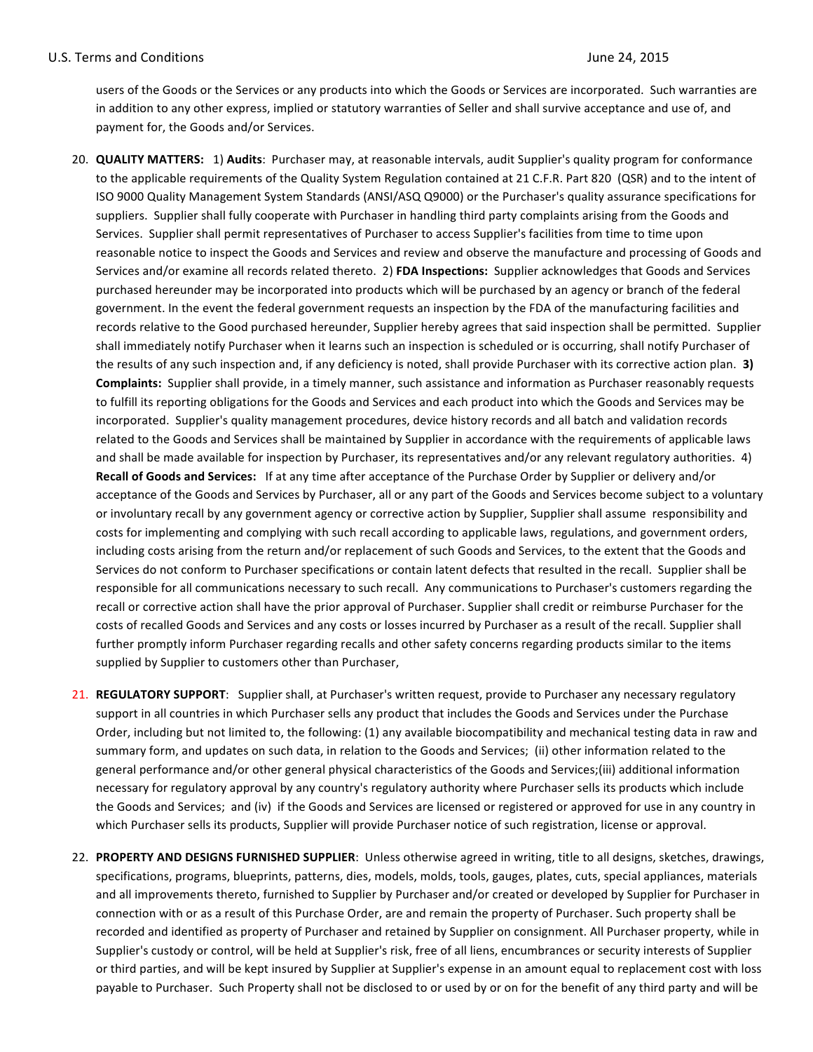users of the Goods or the Services or any products into which the Goods or Services are incorporated. Such warranties are in addition to any other express, implied or statutory warranties of Seller and shall survive acceptance and use of, and payment for, the Goods and/or Services.

- 20. **QUALITY MATTERS:** 1) Audits: Purchaser may, at reasonable intervals, audit Supplier's quality program for conformance to the applicable requirements of the Quality System Regulation contained at 21 C.F.R. Part 820 (QSR) and to the intent of ISO 9000 Quality Management System Standards (ANSI/ASQ Q9000) or the Purchaser's quality assurance specifications for suppliers. Supplier shall fully cooperate with Purchaser in handling third party complaints arising from the Goods and Services. Supplier shall permit representatives of Purchaser to access Supplier's facilities from time to time upon reasonable notice to inspect the Goods and Services and review and observe the manufacture and processing of Goods and Services and/or examine all records related thereto. 2) FDA Inspections: Supplier acknowledges that Goods and Services purchased hereunder may be incorporated into products which will be purchased by an agency or branch of the federal government. In the event the federal government requests an inspection by the FDA of the manufacturing facilities and records relative to the Good purchased hereunder, Supplier hereby agrees that said inspection shall be permitted. Supplier shall immediately notify Purchaser when it learns such an inspection is scheduled or is occurring, shall notify Purchaser of the results of any such inspection and, if any deficiency is noted, shall provide Purchaser with its corrective action plan. **3)** Complaints: Supplier shall provide, in a timely manner, such assistance and information as Purchaser reasonably requests to fulfill its reporting obligations for the Goods and Services and each product into which the Goods and Services may be incorporated. Supplier's quality management procedures, device history records and all batch and validation records related to the Goods and Services shall be maintained by Supplier in accordance with the requirements of applicable laws and shall be made available for inspection by Purchaser, its representatives and/or any relevant regulatory authorities. 4) **Recall of Goods and Services:** If at any time after acceptance of the Purchase Order by Supplier or delivery and/or acceptance of the Goods and Services by Purchaser, all or any part of the Goods and Services become subject to a voluntary or involuntary recall by any government agency or corrective action by Supplier, Supplier shall assume responsibility and costs for implementing and complying with such recall according to applicable laws, regulations, and government orders, including costs arising from the return and/or replacement of such Goods and Services, to the extent that the Goods and Services do not conform to Purchaser specifications or contain latent defects that resulted in the recall. Supplier shall be responsible for all communications necessary to such recall. Any communications to Purchaser's customers regarding the recall or corrective action shall have the prior approval of Purchaser. Supplier shall credit or reimburse Purchaser for the costs of recalled Goods and Services and any costs or losses incurred by Purchaser as a result of the recall. Supplier shall further promptly inform Purchaser regarding recalls and other safety concerns regarding products similar to the items supplied by Supplier to customers other than Purchaser,
- 21. REGULATORY SUPPORT: Supplier shall, at Purchaser's written request, provide to Purchaser any necessary regulatory support in all countries in which Purchaser sells any product that includes the Goods and Services under the Purchase Order, including but not limited to, the following: (1) any available biocompatibility and mechanical testing data in raw and summary form, and updates on such data, in relation to the Goods and Services; (ii) other information related to the general performance and/or other general physical characteristics of the Goods and Services;(iii) additional information necessary for regulatory approval by any country's regulatory authority where Purchaser sells its products which include the Goods and Services; and (iv) if the Goods and Services are licensed or registered or approved for use in any country in which Purchaser sells its products, Supplier will provide Purchaser notice of such registration, license or approval.
- 22. PROPERTY AND DESIGNS FURNISHED SUPPLIER: Unless otherwise agreed in writing, title to all designs, sketches, drawings, specifications, programs, blueprints, patterns, dies, models, molds, tools, gauges, plates, cuts, special appliances, materials and all improvements thereto, furnished to Supplier by Purchaser and/or created or developed by Supplier for Purchaser in connection with or as a result of this Purchase Order, are and remain the property of Purchaser. Such property shall be recorded and identified as property of Purchaser and retained by Supplier on consignment. All Purchaser property, while in Supplier's custody or control, will be held at Supplier's risk, free of all liens, encumbrances or security interests of Supplier or third parties, and will be kept insured by Supplier at Supplier's expense in an amount equal to replacement cost with loss payable to Purchaser. Such Property shall not be disclosed to or used by or on for the benefit of any third party and will be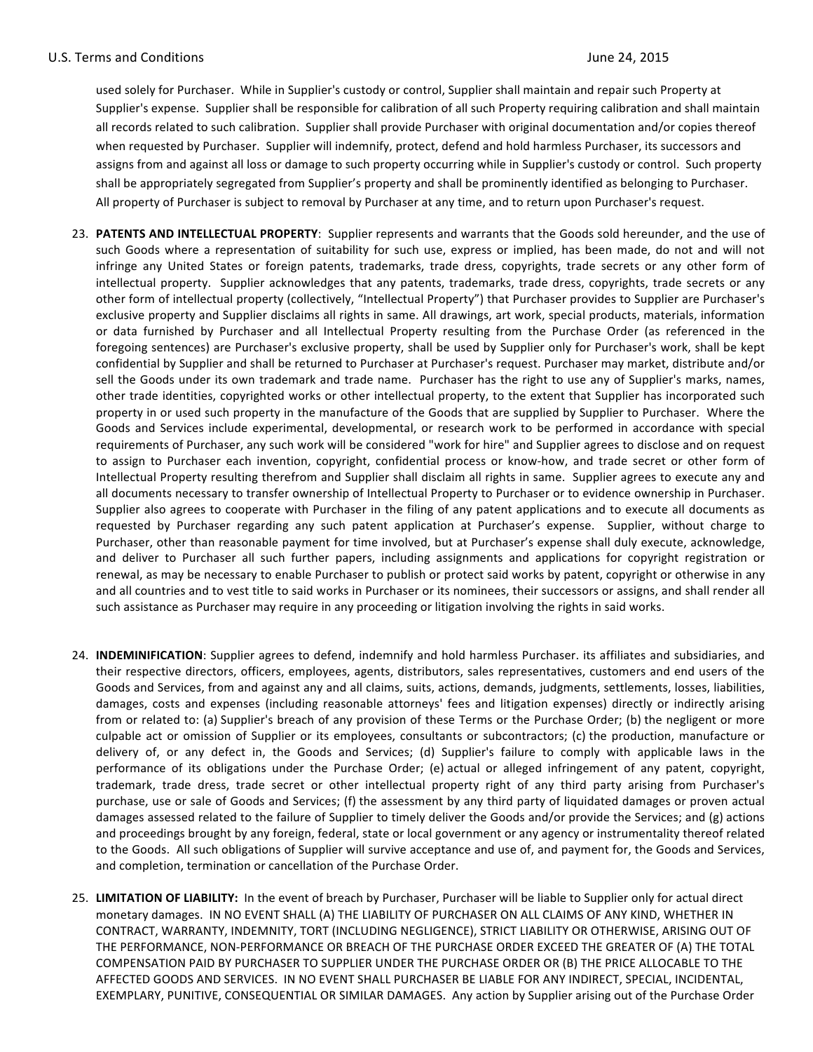used solely for Purchaser. While in Supplier's custody or control, Supplier shall maintain and repair such Property at Supplier's expense. Supplier shall be responsible for calibration of all such Property requiring calibration and shall maintain all records related to such calibration. Supplier shall provide Purchaser with original documentation and/or copies thereof when requested by Purchaser. Supplier will indemnify, protect, defend and hold harmless Purchaser, its successors and assigns from and against all loss or damage to such property occurring while in Supplier's custody or control. Such property shall be appropriately segregated from Supplier's property and shall be prominently identified as belonging to Purchaser. All property of Purchaser is subject to removal by Purchaser at any time, and to return upon Purchaser's request.

- 23. PATENTS AND INTELLECTUAL PROPERTY: Supplier represents and warrants that the Goods sold hereunder, and the use of such Goods where a representation of suitability for such use, express or implied, has been made, do not and will not infringe any United States or foreign patents, trademarks, trade dress, copyrights, trade secrets or any other form of intellectual property. Supplier acknowledges that any patents, trademarks, trade dress, copyrights, trade secrets or any other form of intellectual property (collectively, "Intellectual Property") that Purchaser provides to Supplier are Purchaser's exclusive property and Supplier disclaims all rights in same. All drawings, art work, special products, materials, information or data furnished by Purchaser and all Intellectual Property resulting from the Purchase Order (as referenced in the foregoing sentences) are Purchaser's exclusive property, shall be used by Supplier only for Purchaser's work, shall be kept confidential by Supplier and shall be returned to Purchaser at Purchaser's request. Purchaser may market, distribute and/or sell the Goods under its own trademark and trade name. Purchaser has the right to use any of Supplier's marks, names, other trade identities, copyrighted works or other intellectual property, to the extent that Supplier has incorporated such property in or used such property in the manufacture of the Goods that are supplied by Supplier to Purchaser. Where the Goods and Services include experimental, developmental, or research work to be performed in accordance with special requirements of Purchaser, any such work will be considered "work for hire" and Supplier agrees to disclose and on request to assign to Purchaser each invention, copyright, confidential process or know-how, and trade secret or other form of Intellectual Property resulting therefrom and Supplier shall disclaim all rights in same. Supplier agrees to execute any and all documents necessary to transfer ownership of Intellectual Property to Purchaser or to evidence ownership in Purchaser. Supplier also agrees to cooperate with Purchaser in the filing of any patent applications and to execute all documents as requested by Purchaser regarding any such patent application at Purchaser's expense. Supplier, without charge to Purchaser, other than reasonable payment for time involved, but at Purchaser's expense shall duly execute, acknowledge, and deliver to Purchaser all such further papers, including assignments and applications for copyright registration or renewal, as may be necessary to enable Purchaser to publish or protect said works by patent, copyright or otherwise in any and all countries and to vest title to said works in Purchaser or its nominees, their successors or assigns, and shall render all such assistance as Purchaser may require in any proceeding or litigation involving the rights in said works.
- 24. **INDEMINIFICATION**: Supplier agrees to defend, indemnify and hold harmless Purchaser. its affiliates and subsidiaries, and their respective directors, officers, employees, agents, distributors, sales representatives, customers and end users of the Goods and Services, from and against any and all claims, suits, actions, demands, judgments, settlements, losses, liabilities, damages, costs and expenses (including reasonable attorneys' fees and litigation expenses) directly or indirectly arising from or related to: (a) Supplier's breach of any provision of these Terms or the Purchase Order; (b) the negligent or more culpable act or omission of Supplier or its employees, consultants or subcontractors; (c) the production, manufacture or delivery of, or any defect in, the Goods and Services; (d) Supplier's failure to comply with applicable laws in the performance of its obligations under the Purchase Order; (e) actual or alleged infringement of any patent, copyright, trademark, trade dress, trade secret or other intellectual property right of any third party arising from Purchaser's purchase, use or sale of Goods and Services; (f) the assessment by any third party of liquidated damages or proven actual damages assessed related to the failure of Supplier to timely deliver the Goods and/or provide the Services; and (g) actions and proceedings brought by any foreign, federal, state or local government or any agency or instrumentality thereof related to the Goods. All such obligations of Supplier will survive acceptance and use of, and payment for, the Goods and Services, and completion, termination or cancellation of the Purchase Order.
- 25. LIMITATION OF LIABILITY: In the event of breach by Purchaser, Purchaser will be liable to Supplier only for actual direct monetary damages. IN NO EVENT SHALL (A) THE LIABILITY OF PURCHASER ON ALL CLAIMS OF ANY KIND, WHETHER IN CONTRACT, WARRANTY, INDEMNITY, TORT (INCLUDING NEGLIGENCE), STRICT LIABILITY OR OTHERWISE, ARISING OUT OF THE PERFORMANCE, NON-PERFORMANCE OR BREACH OF THE PURCHASE ORDER EXCEED THE GREATER OF (A) THE TOTAL COMPENSATION PAID BY PURCHASER TO SUPPLIER UNDER THE PURCHASE ORDER OR (B) THE PRICE ALLOCABLE TO THE AFFECTED GOODS AND SERVICES. IN NO EVENT SHALL PURCHASER BE LIABLE FOR ANY INDIRECT, SPECIAL, INCIDENTAL, EXEMPLARY, PUNITIVE, CONSEQUENTIAL OR SIMILAR DAMAGES. Any action by Supplier arising out of the Purchase Order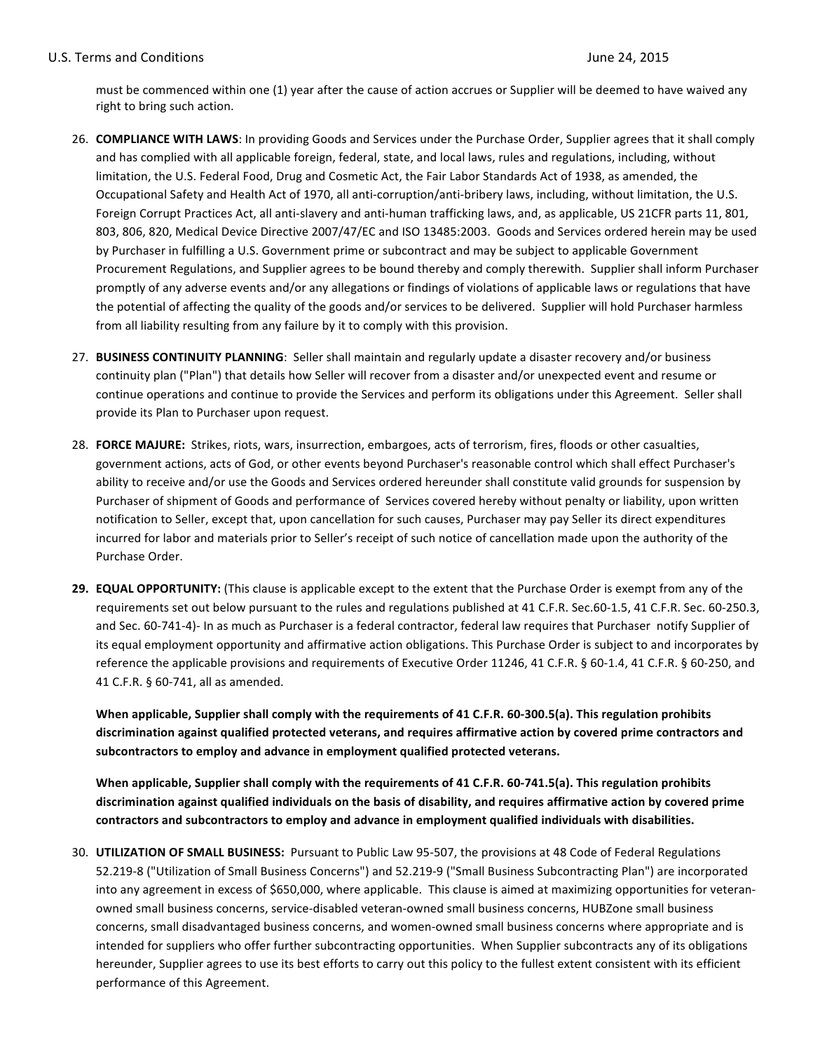## U.S. Terms and Conditions **Department of the Conditions** of the U.S. Terms and Conditions **June 24, 2015**

must be commenced within one (1) year after the cause of action accrues or Supplier will be deemed to have waived any right to bring such action.

- 26. **COMPLIANCE WITH LAWS**: In providing Goods and Services under the Purchase Order, Supplier agrees that it shall comply and has complied with all applicable foreign, federal, state, and local laws, rules and regulations, including, without limitation, the U.S. Federal Food, Drug and Cosmetic Act, the Fair Labor Standards Act of 1938, as amended, the Occupational Safety and Health Act of 1970, all anti-corruption/anti-bribery laws, including, without limitation, the U.S. Foreign Corrupt Practices Act, all anti-slavery and anti-human trafficking laws, and, as applicable, US 21CFR parts 11, 801, 803, 806, 820, Medical Device Directive 2007/47/EC and ISO 13485:2003. Goods and Services ordered herein may be used by Purchaser in fulfilling a U.S. Government prime or subcontract and may be subject to applicable Government Procurement Regulations, and Supplier agrees to be bound thereby and comply therewith. Supplier shall inform Purchaser promptly of any adverse events and/or any allegations or findings of violations of applicable laws or regulations that have the potential of affecting the quality of the goods and/or services to be delivered. Supplier will hold Purchaser harmless from all liability resulting from any failure by it to comply with this provision.
- 27. **BUSINESS CONTINUITY PLANNING**: Seller shall maintain and regularly update a disaster recovery and/or business continuity plan ("Plan") that details how Seller will recover from a disaster and/or unexpected event and resume or continue operations and continue to provide the Services and perform its obligations under this Agreement. Seller shall provide its Plan to Purchaser upon request.
- 28. FORCE MAJURE: Strikes, riots, wars, insurrection, embargoes, acts of terrorism, fires, floods or other casualties, government actions, acts of God, or other events beyond Purchaser's reasonable control which shall effect Purchaser's ability to receive and/or use the Goods and Services ordered hereunder shall constitute valid grounds for suspension by Purchaser of shipment of Goods and performance of Services covered hereby without penalty or liability, upon written notification to Seller, except that, upon cancellation for such causes, Purchaser may pay Seller its direct expenditures incurred for labor and materials prior to Seller's receipt of such notice of cancellation made upon the authority of the Purchase Order.
- **29. EQUAL OPPORTUNITY:** (This clause is applicable except to the extent that the Purchase Order is exempt from any of the requirements set out below pursuant to the rules and regulations published at 41 C.F.R. Sec.60-1.5, 41 C.F.R. Sec. 60-250.3, and Sec. 60-741-4)- In as much as Purchaser is a federal contractor, federal law requires that Purchaser notify Supplier of its equal employment opportunity and affirmative action obligations. This Purchase Order is subject to and incorporates by reference the applicable provisions and requirements of Executive Order 11246, 41 C.F.R. § 60-1.4, 41 C.F.R. § 60-250, and 41 C.F.R. § 60-741, all as amended.

When applicable, Supplier shall comply with the requirements of 41 C.F.R. 60-300.5(a). This regulation prohibits discrimination against qualified protected veterans, and requires affirmative action by covered prime contractors and subcontractors to employ and advance in employment qualified protected veterans.

When applicable, Supplier shall comply with the requirements of 41 C.F.R. 60-741.5(a). This regulation prohibits discrimination against qualified individuals on the basis of disability, and requires affirmative action by covered prime contractors and subcontractors to employ and advance in employment qualified individuals with disabilities.

30. **UTILIZATION OF SMALL BUSINESS:** Pursuant to Public Law 95-507, the provisions at 48 Code of Federal Regulations 52.219-8 ("Utilization of Small Business Concerns") and 52.219-9 ("Small Business Subcontracting Plan") are incorporated into any agreement in excess of \$650,000, where applicable. This clause is aimed at maximizing opportunities for veteranowned small business concerns, service-disabled veteran-owned small business concerns, HUBZone small business concerns, small disadvantaged business concerns, and women-owned small business concerns where appropriate and is intended for suppliers who offer further subcontracting opportunities. When Supplier subcontracts any of its obligations hereunder, Supplier agrees to use its best efforts to carry out this policy to the fullest extent consistent with its efficient performance of this Agreement.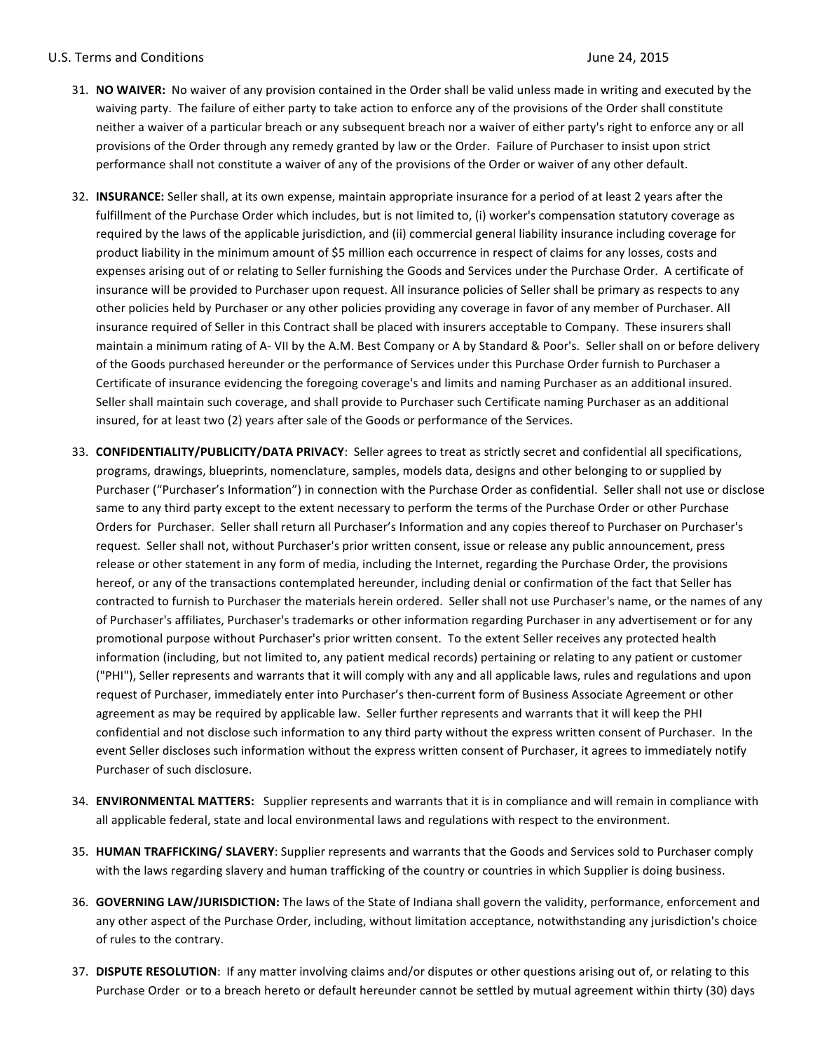## U.S. Terms and Conditions **Department of the Conditions** of the U.S. Terms and Conditions **June 24, 2015**

- 31. **NO WAIVER:** No waiver of any provision contained in the Order shall be valid unless made in writing and executed by the waiving party. The failure of either party to take action to enforce any of the provisions of the Order shall constitute neither a waiver of a particular breach or any subsequent breach nor a waiver of either party's right to enforce any or all provisions of the Order through any remedy granted by law or the Order. Failure of Purchaser to insist upon strict performance shall not constitute a waiver of any of the provisions of the Order or waiver of any other default.
- 32. **INSURANCE:** Seller shall, at its own expense, maintain appropriate insurance for a period of at least 2 years after the fulfillment of the Purchase Order which includes, but is not limited to, (i) worker's compensation statutory coverage as required by the laws of the applicable jurisdiction, and (ii) commercial general liability insurance including coverage for product liability in the minimum amount of \$5 million each occurrence in respect of claims for any losses, costs and expenses arising out of or relating to Seller furnishing the Goods and Services under the Purchase Order. A certificate of insurance will be provided to Purchaser upon request. All insurance policies of Seller shall be primary as respects to any other policies held by Purchaser or any other policies providing any coverage in favor of any member of Purchaser. All insurance required of Seller in this Contract shall be placed with insurers acceptable to Company. These insurers shall maintain a minimum rating of A- VII by the A.M. Best Company or A by Standard & Poor's. Seller shall on or before delivery of the Goods purchased hereunder or the performance of Services under this Purchase Order furnish to Purchaser a Certificate of insurance evidencing the foregoing coverage's and limits and naming Purchaser as an additional insured. Seller shall maintain such coverage, and shall provide to Purchaser such Certificate naming Purchaser as an additional insured, for at least two (2) years after sale of the Goods or performance of the Services.
- 33. **CONFIDENTIALITY/PUBLICITY/DATA PRIVACY**: Seller agrees to treat as strictly secret and confidential all specifications, programs, drawings, blueprints, nomenclature, samples, models data, designs and other belonging to or supplied by Purchaser ("Purchaser's Information") in connection with the Purchase Order as confidential. Seller shall not use or disclose same to any third party except to the extent necessary to perform the terms of the Purchase Order or other Purchase Orders for Purchaser. Seller shall return all Purchaser's Information and any copies thereof to Purchaser on Purchaser's request. Seller shall not, without Purchaser's prior written consent, issue or release any public announcement, press release or other statement in any form of media, including the Internet, regarding the Purchase Order, the provisions hereof, or any of the transactions contemplated hereunder, including denial or confirmation of the fact that Seller has contracted to furnish to Purchaser the materials herein ordered. Seller shall not use Purchaser's name, or the names of any of Purchaser's affiliates, Purchaser's trademarks or other information regarding Purchaser in any advertisement or for any promotional purpose without Purchaser's prior written consent. To the extent Seller receives any protected health information (including, but not limited to, any patient medical records) pertaining or relating to any patient or customer ("PHI"), Seller represents and warrants that it will comply with any and all applicable laws, rules and regulations and upon request of Purchaser, immediately enter into Purchaser's then-current form of Business Associate Agreement or other agreement as may be required by applicable law. Seller further represents and warrants that it will keep the PHI confidential and not disclose such information to any third party without the express written consent of Purchaser. In the event Seller discloses such information without the express written consent of Purchaser, it agrees to immediately notify Purchaser of such disclosure.
- 34. **ENVIRONMENTAL MATTERS:** Supplier represents and warrants that it is in compliance and will remain in compliance with all applicable federal, state and local environmental laws and regulations with respect to the environment.
- 35. **HUMAN TRAFFICKING/ SLAVERY**: Supplier represents and warrants that the Goods and Services sold to Purchaser comply with the laws regarding slavery and human trafficking of the country or countries in which Supplier is doing business.
- 36. **GOVERNING LAW/JURISDICTION:** The laws of the State of Indiana shall govern the validity, performance, enforcement and any other aspect of the Purchase Order, including, without limitation acceptance, notwithstanding any jurisdiction's choice of rules to the contrary.
- 37. DISPUTE RESOLUTION: If any matter involving claims and/or disputes or other questions arising out of, or relating to this Purchase Order or to a breach hereto or default hereunder cannot be settled by mutual agreement within thirty (30) days